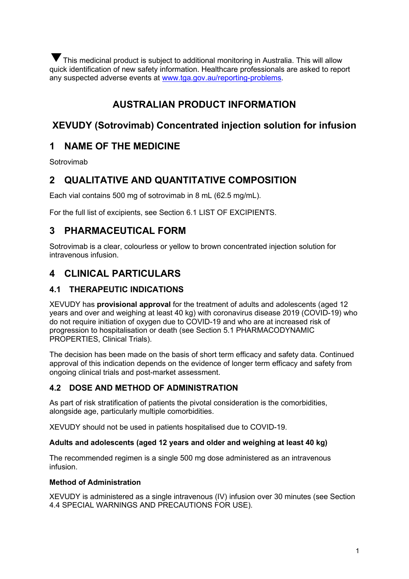This medicinal product is subject to additional monitoring in Australia. This will allow ▼quick identification of new safety information. Healthcare professionals are asked to report any suspected adverse events at [www.tga.gov.au/reporting-problems.](http://www.tga.gov.au/reporting-problems)

# **AUSTRALIAN PRODUCT INFORMATION**

# **XEVUDY (Sotrovimab) Concentrated injection solution for infusion**

# **1 NAME OF THE MEDICINE**

Sotrovimab

# **2 QUALITATIVE AND QUANTITATIVE COMPOSITION**

Each vial contains 500 mg of sotrovimab in 8 mL (62.5 mg/mL).

For the full list of excipients, see Section 6.1 LIST OF EXCIPIENTS.

## **3 PHARMACEUTICAL FORM**

Sotrovimab is a clear, colourless or yellow to brown concentrated injection solution for intravenous infusion.

# **4 CLINICAL PARTICULARS**

## **4.1 THERAPEUTIC INDICATIONS**

XEVUDY has **provisional approval** for the treatment of adults and adolescents (aged 12 years and over and weighing at least 40 kg) with coronavirus disease 2019 (COVID-19) who do not require initiation of oxygen due to COVID-19 and who are at increased risk of progression to hospitalisation or death (see Section 5.1 PHARMACODYNAMIC PROPERTIES, Clinical Trials).

The decision has been made on the basis of short term efficacy and safety data. Continued approval of this indication depends on the evidence of longer term efficacy and safety from ongoing clinical trials and post-market assessment.

## **4.2 DOSE AND METHOD OF ADMINISTRATION**

As part of risk stratification of patients the pivotal consideration is the comorbidities, alongside age, particularly multiple comorbidities.

XEVUDY should not be used in patients hospitalised due to COVID-19.

#### **Adults and adolescents (aged 12 years and older and weighing at least 40 kg)**

The recommended regimen is a single 500 mg dose administered as an intravenous infusion.

#### **Method of Administration**

XEVUDY is administered as a single intravenous (IV) infusion over 30 minutes (see Section 4.4 SPECIAL WARNINGS AND PRECAUTIONS FOR USE).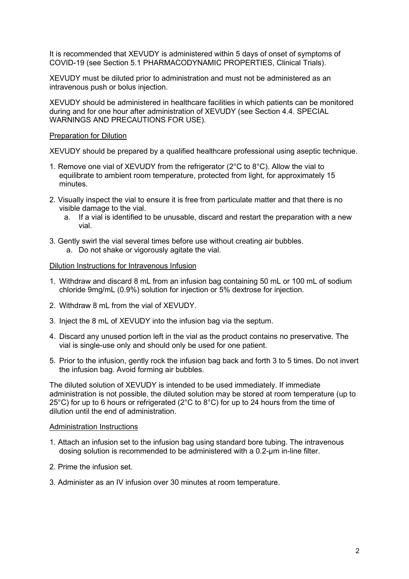It is recommended that XEVUDY is administered within 5 days of onset of symptoms of COVID-19 (see Section 5.1 PHARMACODYNAMIC PROPERTIES, Clinical Trials).

XEVUDY must be diluted prior to administration and must not be administered as an intravenous push or bolus injection.

XEVUDY should be administered in healthcare facilities in which patients can be monitored during and for one hour after administration of XEVUDY (see Section 4.4. SPECIAL WARNINGS AND PRECAUTIONS FOR USE).

#### Preparation for Dilution

XEVUDY should be prepared by a qualified healthcare professional using aseptic technique.

- 1. Remove one vial of XEVUDY from the refrigerator (2°C to 8°C). Allow the vial to equilibrate to ambient room temperature, protected from light, for approximately 15 minutes.
- 2. Visually inspect the vial to ensure it is free from particulate matter and that there is no visible damage to the vial.
	- a. If a vial is identified to be unusable, discard and restart the preparation with a new vial.
- 3. Gently swirl the vial several times before use without creating air bubbles. a. Do not shake or vigorously agitate the vial.

#### Dilution Instructions for Intravenous Infusion

- 1. Withdraw and discard 8 mL from an infusion bag containing 50 mL or 100 mL of sodium chloride 9mg/mL (0.9%) solution for injection or 5% dextrose for injection.
- 2. Withdraw 8 mL from the vial of XEVUDY.
- 3. Inject the 8 mL of XEVUDY into the infusion bag via the septum.
- 4. Discard any unused portion left in the vial as the product contains no preservative. The vial is single-use only and should only be used for one patient.
- 5. Prior to the infusion, gently rock the infusion bag back and forth 3 to 5 times. Do not invert the infusion bag. Avoid forming air bubbles.

The diluted solution of XEVUDY is intended to be used immediately. If immediate administration is not possible, the diluted solution may be stored at room temperature (up to 25°C) for up to 6 hours or refrigerated (2°C to 8°C) for up to 24 hours from the time of dilution until the end of administration.

#### Administration Instructions

- 1. Attach an infusion set to the infusion bag using standard bore tubing. The intravenous dosing solution is recommended to be administered with a 0.2-μm in-line filter.
- 2. Prime the infusion set.
- 3. Administer as an IV infusion over 30 minutes at room temperature.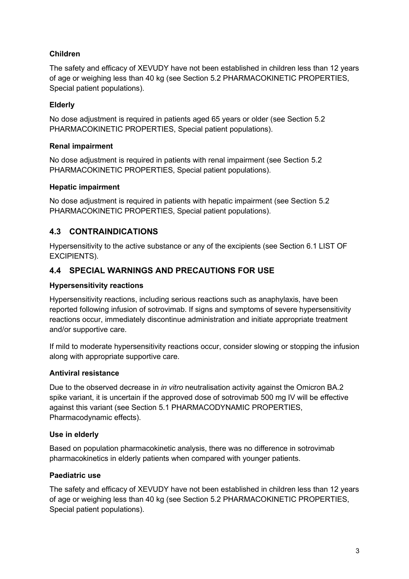### **Children**

The safety and efficacy of XEVUDY have not been established in children less than 12 years of age or weighing less than 40 kg (see Section 5.2 PHARMACOKINETIC PROPERTIES, Special patient populations).

### **Elderly**

No dose adjustment is required in patients aged 65 years or older (see Section 5.2 PHARMACOKINETIC PROPERTIES, Special patient populations).

#### **Renal impairment**

No dose adjustment is required in patients with renal impairment (see Section 5.2 PHARMACOKINETIC PROPERTIES, Special patient populations).

#### **Hepatic impairment**

No dose adjustment is required in patients with hepatic impairment (see Section 5.2 PHARMACOKINETIC PROPERTIES, Special patient populations).

### **4.3 CONTRAINDICATIONS**

Hypersensitivity to the active substance or any of the excipients (see Section 6.1 LIST OF EXCIPIENTS).

### **4.4 SPECIAL WARNINGS AND PRECAUTIONS FOR USE**

#### **Hypersensitivity reactions**

Hypersensitivity reactions, including serious reactions such as anaphylaxis, have been reported following infusion of sotrovimab. If signs and symptoms of severe hypersensitivity reactions occur, immediately discontinue administration and initiate appropriate treatment and/or supportive care.

If mild to moderate hypersensitivity reactions occur, consider slowing or stopping the infusion along with appropriate supportive care.

#### **Antiviral resistance**

Due to the observed decrease in *in vitro* neutralisation activity against the Omicron BA.2 spike variant, it is uncertain if the approved dose of sotrovimab 500 mg IV will be effective against this variant (see Section 5.1 PHARMACODYNAMIC PROPERTIES, Pharmacodynamic effects).

#### **Use in elderly**

Based on population pharmacokinetic analysis, there was no difference in sotrovimab pharmacokinetics in elderly patients when compared with younger patients.

#### **Paediatric use**

The safety and efficacy of XEVUDY have not been established in children less than 12 years of age or weighing less than 40 kg (see Section 5.2 PHARMACOKINETIC PROPERTIES, Special patient populations).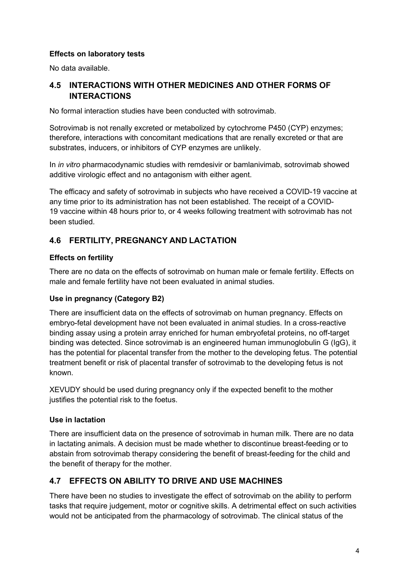#### **Effects on laboratory tests**

No data available.

## **4.5 INTERACTIONS WITH OTHER MEDICINES AND OTHER FORMS OF INTERACTIONS**

No formal interaction studies have been conducted with sotrovimab.

Sotrovimab is not renally excreted or metabolized by cytochrome P450 (CYP) enzymes; therefore, interactions with concomitant medications that are renally excreted or that are substrates, inducers, or inhibitors of CYP enzymes are unlikely.

In *in vitro* pharmacodynamic studies with remdesivir or bamlanivimab, sotrovimab showed additive virologic effect and no antagonism with either agent.

The efficacy and safety of sotrovimab in subjects who have received a COVID-19 vaccine at any time prior to its administration has not been established. The receipt of a COVID-19 vaccine within 48 hours prior to, or 4 weeks following treatment with sotrovimab has not been studied.

## **4.6 FERTILITY, PREGNANCY AND LACTATION**

#### **Effects on fertility**

There are no data on the effects of sotrovimab on human male or female fertility. Effects on male and female fertility have not been evaluated in animal studies.

#### **Use in pregnancy (Category B2)**

There are insufficient data on the effects of sotrovimab on human pregnancy. Effects on embryo-fetal development have not been evaluated in animal studies. In a cross-reactive binding assay using a protein array enriched for human embryofetal proteins, no off-target binding was detected. Since sotrovimab is an engineered human immunoglobulin G (IgG), it has the potential for placental transfer from the mother to the developing fetus. The potential treatment benefit or risk of placental transfer of sotrovimab to the developing fetus is not known.

XEVUDY should be used during pregnancy only if the expected benefit to the mother justifies the potential risk to the foetus.

#### **Use in lactation**

There are insufficient data on the presence of sotrovimab in human milk. There are no data in lactating animals. A decision must be made whether to discontinue breast-feeding or to abstain from sotrovimab therapy considering the benefit of breast-feeding for the child and the benefit of therapy for the mother.

## **4.7 EFFECTS ON ABILITY TO DRIVE AND USE MACHINES**

There have been no studies to investigate the effect of sotrovimab on the ability to perform tasks that require judgement, motor or cognitive skills. A detrimental effect on such activities would not be anticipated from the pharmacology of sotrovimab. The clinical status of the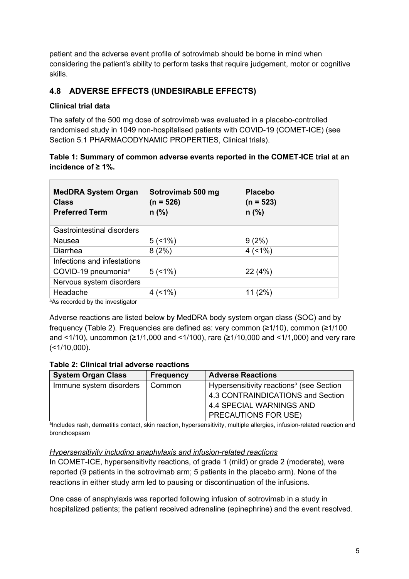patient and the adverse event profile of sotrovimab should be borne in mind when considering the patient's ability to perform tasks that require judgement, motor or cognitive skills.

## **4.8 ADVERSE EFFECTS (UNDESIRABLE EFFECTS)**

### **Clinical trial data**

The safety of the 500 mg dose of sotrovimab was evaluated in a placebo-controlled randomised study in 1049 non-hospitalised patients with COVID-19 (COMET-ICE) (see Section 5.1 PHARMACODYNAMIC PROPERTIES, Clinical trials).

#### **Table 1: Summary of common adverse events reported in the COMET-ICE trial at an incidence of ≥ 1%.**

| <b>MedDRA System Organ</b><br><b>Class</b><br><b>Preferred Term</b> | Sotrovimab 500 mg<br>(n = 526)<br>$n$ (%) | <b>Placebo</b><br>$(n = 523)$<br>$n$ (%) |
|---------------------------------------------------------------------|-------------------------------------------|------------------------------------------|
| Gastrointestinal disorders                                          |                                           |                                          |
| Nausea                                                              | 5(1%)                                     | 9(2%)                                    |
| Diarrhea                                                            | 8(2%)                                     | $4$ (<1%)                                |
| Infections and infestations                                         |                                           |                                          |
| COVID-19 pneumonia <sup>a</sup>                                     | 5(1%)                                     | 22 (4%)                                  |
| Nervous system disorders                                            |                                           |                                          |
| Headache                                                            | 4(1%)                                     | 11(2%)                                   |

aAs recorded by the investigator

Adverse reactions are listed below by MedDRA body system organ class (SOC) and by frequency (Table 2). Frequencies are defined as: very common (≥1/10), common (≥1/100 and <1/10), uncommon (≥1/1,000 and <1/100), rare (≥1/10,000 and <1/1,000) and very rare  $($  < 1/10,000).

#### **Table 2: Clinical trial adverse reactions**

| <b>System Organ Class</b> | <b>Frequency</b> | <b>Adverse Reactions</b>                             |
|---------------------------|------------------|------------------------------------------------------|
| Immune system disorders   | Common           | Hypersensitivity reactions <sup>a</sup> (see Section |
|                           |                  | 4.3 CONTRAINDICATIONS and Section                    |
|                           |                  | 4.4 SPECIAL WARNINGS AND                             |
|                           |                  | <b>PRECAUTIONS FOR USE)</b>                          |

aIncludes rash, dermatitis contact, skin reaction, hypersensitivity, multiple allergies, infusion-related reaction and bronchospasm

#### *Hypersensitivity including anaphylaxis and infusion-related reactions*

In COMET-ICE, hypersensitivity reactions, of grade 1 (mild) or grade 2 (moderate), were reported (9 patients in the sotrovimab arm; 5 patients in the placebo arm). None of the reactions in either study arm led to pausing or discontinuation of the infusions.

One case of anaphylaxis was reported following infusion of sotrovimab in a study in hospitalized patients; the patient received adrenaline (epinephrine) and the event resolved.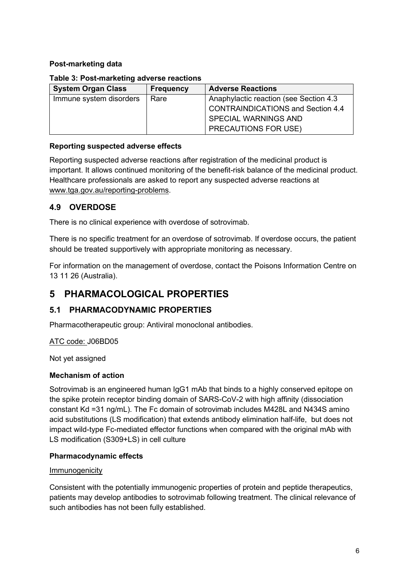#### **Post-marketing data**

#### **Table 3: Post-marketing adverse reactions**

| <b>System Organ Class</b> | <b>Frequency</b> | <b>Adverse Reactions</b>                 |
|---------------------------|------------------|------------------------------------------|
| Immune system disorders   | Rare             | Anaphylactic reaction (see Section 4.3)  |
|                           |                  | <b>CONTRAINDICATIONS and Section 4.4</b> |
|                           |                  | <b>SPECIAL WARNINGS AND</b>              |
|                           |                  | <b>PRECAUTIONS FOR USE)</b>              |

#### **Reporting suspected adverse effects**

Reporting suspected adverse reactions after registration of the medicinal product is important. It allows continued monitoring of the benefit-risk balance of the medicinal product. Healthcare professionals are asked to report any suspected adverse reactions at [www.tga.gov.au/reporting-problems.](http://www.tga.gov.au/reporting-problems)

## **4.9 OVERDOSE**

There is no clinical experience with overdose of sotrovimab.

There is no specific treatment for an overdose of sotrovimab. If overdose occurs, the patient should be treated supportively with appropriate monitoring as necessary.

For information on the management of overdose, contact the Poisons Information Centre on 13 11 26 (Australia).

# **5 PHARMACOLOGICAL PROPERTIES**

## **5.1 PHARMACODYNAMIC PROPERTIES**

Pharmacotherapeutic group: Antiviral monoclonal antibodies.

#### ATC code: J06BD05

Not yet assigned

#### **Mechanism of action**

Sotrovimab is an engineered human IgG1 mAb that binds to a highly conserved epitope on the spike protein receptor binding domain of SARS-CoV-2 with high affinity (dissociation constant Kd =31 ng/mL). The Fc domain of sotrovimab includes M428L and N434S amino acid substitutions (LS modification) that extends antibody elimination half-life, but does not impact wild-type Fc-mediated effector functions when compared with the original mAb with LS modification (S309+LS) in cell culture

#### **Pharmacodynamic effects**

#### Immunogenicity

Consistent with the potentially immunogenic properties of protein and peptide therapeutics, patients may develop antibodies to sotrovimab following treatment. The clinical relevance of such antibodies has not been fully established.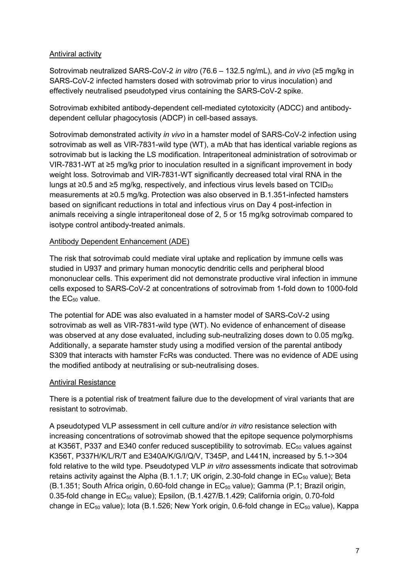#### Antiviral activity

Sotrovimab neutralized SARS-CoV-2 *in vitro* (76.6 – 132.5 ng/mL), and *in vivo* (≥5 mg/kg in SARS-CoV-2 infected hamsters dosed with sotrovimab prior to virus inoculation) and effectively neutralised pseudotyped virus containing the SARS-CoV-2 spike.

Sotrovimab exhibited antibody-dependent cell-mediated cytotoxicity (ADCC) and antibodydependent cellular phagocytosis (ADCP) in cell-based assays.

Sotrovimab demonstrated activity *in vivo* in a hamster model of SARS-CoV-2 infection using sotrovimab as well as VIR-7831-wild type (WT), a mAb that has identical variable regions as sotrovimab but is lacking the LS modification. Intraperitoneal administration of sotrovimab or VIR-7831-WT at ≥5 mg/kg prior to inoculation resulted in a significant improvement in body weight loss. Sotrovimab and VIR-7831-WT significantly decreased total viral RNA in the lungs at ≥0.5 and ≥5 mg/kg, respectively, and infectious virus levels based on TCID $_{50}$ measurements at ≥0.5 mg/kg. Protection was also observed in B.1.351-infected hamsters based on significant reductions in total and infectious virus on Day 4 post-infection in animals receiving a single intraperitoneal dose of 2, 5 or 15 mg/kg sotrovimab compared to isotype control antibody-treated animals.

#### Antibody Dependent Enhancement (ADE)

The risk that sotrovimab could mediate viral uptake and replication by immune cells was studied in U937 and primary human monocytic dendritic cells and peripheral blood mononuclear cells. This experiment did not demonstrate productive viral infection in immune cells exposed to SARS-CoV-2 at concentrations of sotrovimab from 1-fold down to 1000-fold the  $EC_{50}$  value.

The potential for ADE was also evaluated in a hamster model of SARS-CoV-2 using sotrovimab as well as VIR-7831-wild type (WT). No evidence of enhancement of disease was observed at any dose evaluated, including sub-neutralizing doses down to 0.05 mg/kg. Additionally, a separate hamster study using a modified version of the parental antibody S309 that interacts with hamster FcRs was conducted. There was no evidence of ADE using the modified antibody at neutralising or sub-neutralising doses.

#### Antiviral Resistance

There is a potential risk of treatment failure due to the development of viral variants that are resistant to sotrovimab.

A pseudotyped VLP assessment in cell culture and/or *in vitro* resistance selection with increasing concentrations of sotrovimab showed that the epitope sequence polymorphisms at K356T, P337 and E340 confer reduced susceptibility to sotrovimab.  $EC_{50}$  values against K356T, P337H/K/L/R/T and E340A/K/G/I/Q/V, T345P, and L441N, increased by 5.1->304 fold relative to the wild type. Pseudotyped VLP *in vitro* assessments indicate that sotrovimab retains activity against the Alpha (B.1.1.7; UK origin, 2.30-fold change in  $EC_{50}$  value); Beta  $(B.1.351;$  South Africa origin, 0.60-fold change in  $EC_{50}$  value); Gamma (P.1; Brazil origin, 0.35-fold change in EC<sub>50</sub> value); Epsilon, (B.1.427/B.1.429; California origin, 0.70-fold change in  $EC_{50}$  value); Iota (B.1.526; New York origin, 0.6-fold change in  $EC_{50}$  value), Kappa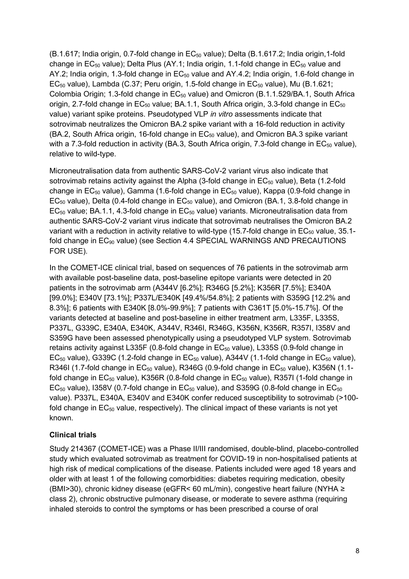(B.1.617; India origin, 0.7-fold change in EC50 value); Delta (B.1.617.2; India origin,1-fold change in  $EC_{50}$  value); Delta Plus (AY.1; India origin, 1.1-fold change in  $EC_{50}$  value and AY.2; India origin, 1.3-fold change in  $EC_{50}$  value and AY.4.2; India origin, 1.6-fold change in  $EC_{50}$  value), Lambda (C.37; Peru origin, 1.5-fold change in  $EC_{50}$  value), Mu (B.1.621; Colombia Origin; 1.3-fold change in EC<sub>50</sub> value) and Omicron (B.1.1.529/BA.1, South Africa origin, 2.7-fold change in  $EC_{50}$  value; BA.1.1, South Africa origin, 3.3-fold change in  $EC_{50}$ value) variant spike proteins. Pseudotyped VLP *in vitro* assessments indicate that sotrovimab neutralizes the Omicron BA.2 spike variant with a 16-fold reduction in activity (BA.2, South Africa origin, 16-fold change in  $EC_{50}$  value), and Omicron BA.3 spike variant with a 7.3-fold reduction in activity (BA.3, South Africa origin, 7.3-fold change in  $EC_{50}$  value), relative to wild-type.

Microneutralisation data from authentic SARS-CoV-2 variant virus also indicate that sotrovimab retains activity against the Alpha (3-fold change in  $EC_{50}$  value), Beta (1.2-fold change in  $EC_{50}$  value), Gamma (1.6-fold change in  $EC_{50}$  value), Kappa (0.9-fold change in  $EC_{50}$  value), Delta (0.4-fold change in  $EC_{50}$  value), and Omicron (BA.1, 3.8-fold change in  $EC_{50}$  value; BA.1.1, 4.3-fold change in  $EC_{50}$  value) variants. Microneutralisation data from authentic SARS-CoV-2 variant virus indicate that sotrovimab neutralises the Omicron BA.2 variant with a reduction in activity relative to wild-type (15.7-fold change in  $EC_{50}$  value, 35.1fold change in EC<sub>90</sub> value) (see Section 4.4 SPECIAL WARNINGS AND PRECAUTIONS FOR USE).

In the COMET-ICE clinical trial, based on sequences of 76 patients in the sotrovimab arm with available post-baseline data, post-baseline epitope variants were detected in 20 patients in the sotrovimab arm (A344V [6.2%]; R346G [5.2%]; K356R [7.5%]; E340A [99.0%]; E340V [73.1%]; P337L/E340K [49.4%/54.8%]; 2 patients with S359G [12.2% and 8.3%]; 6 patients with E340K [8.0%-99.9%]; 7 patients with C361T [5.0%-15.7%]. Of the variants detected at baseline and post-baseline in either treatment arm, L335F, L335S, P337L, G339C, E340A, E340K, A344V, R346I, R346G, K356N, K356R, R357I, I358V and S359G have been assessed phenotypically using a pseudotyped VLP system. Sotrovimab retains activity against L335F (0.8-fold change in EC<sub>50</sub> value), L335S (0.9-fold change in  $EC_{50}$  value), G339C (1.2-fold change in  $EC_{50}$  value), A344V (1.1-fold change in  $EC_{50}$  value), R346I (1.7-fold change in  $EC_{50}$  value), R346G (0.9-fold change in  $EC_{50}$  value), K356N (1.1fold change in  $EC_{50}$  value), K356R (0.8-fold change in  $EC_{50}$  value), R357I (1-fold change in  $EC_{50}$  value), I358V (0.7-fold change in  $EC_{50}$  value), and S359G (0.8-fold change in  $EC_{50}$ value). P337L, E340A, E340V and E340K confer reduced susceptibility to sotrovimab (>100 fold change in  $EC_{50}$  value, respectively). The clinical impact of these variants is not yet known.

#### **Clinical trials**

Study 214367 (COMET-ICE) was a Phase II/III randomised, double-blind, placebo-controlled study which evaluated sotrovimab as treatment for COVID-19 in non-hospitalised patients at high risk of medical complications of the disease. Patients included were aged 18 years and older with at least 1 of the following comorbidities: diabetes requiring medication, obesity (BMI>30), chronic kidney disease (eGFR< 60 mL/min), congestive heart failure (NYHA *≥*  class 2), chronic obstructive pulmonary disease, or moderate to severe asthma (requiring inhaled steroids to control the symptoms or has been prescribed a course of oral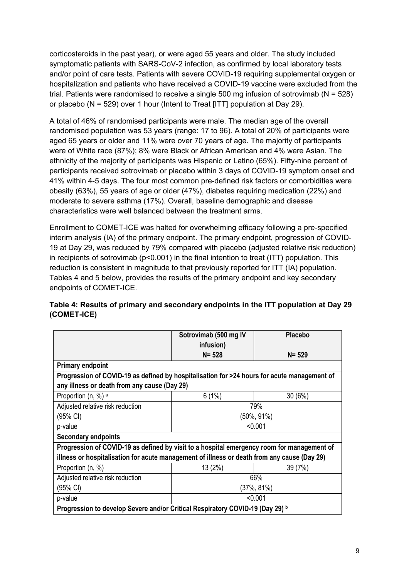corticosteroids in the past year)*,* or were aged 55 years and older. The study included symptomatic patients with SARS-CoV-2 infection, as confirmed by local laboratory tests and/or point of care tests. Patients with severe COVID-19 requiring supplemental oxygen or hospitalization and patients who have received a COVID-19 vaccine were excluded from the trial. Patients were randomised to receive a single 500 mg infusion of sotrovimab (N = 528) or placebo (N = 529) over 1 hour (Intent to Treat [ITT] population at Day 29).

A total of 46% of randomised participants were male. The median age of the overall randomised population was 53 years (range: 17 to 96). A total of 20% of participants were aged 65 years or older and 11% were over 70 years of age. The majority of participants were of White race (87%); 8% were Black or African American and 4% were Asian. The ethnicity of the majority of participants was Hispanic or Latino (65%). Fifty-nine percent of participants received sotrovimab or placebo within 3 days of COVID-19 symptom onset and 41% within 4-5 days. The four most common pre-defined risk factors or comorbidities were obesity (63%), 55 years of age or older (47%), diabetes requiring medication (22%) and moderate to severe asthma (17%). Overall, baseline demographic and disease characteristics were well balanced between the treatment arms.

Enrollment to COMET-ICE was halted for overwhelming efficacy following a pre-specified interim analysis (IA) of the primary endpoint. The primary endpoint, progression of COVID-19 at Day 29, was reduced by 79% compared with placebo (adjusted relative risk reduction) in recipients of sotrovimab (p<0.001) in the final intention to treat (ITT) population. This reduction is consistent in magnitude to that previously reported for ITT (IA) population. Tables 4 and 5 below, provides the results of the primary endpoint and key secondary endpoints of COMET-ICE.

|                                                                                             | Sotrovimab (500 mg IV | <b>Placebo</b> |
|---------------------------------------------------------------------------------------------|-----------------------|----------------|
|                                                                                             | infusion)             |                |
|                                                                                             | $N = 528$             | $N = 529$      |
| <b>Primary endpoint</b>                                                                     |                       |                |
| Progression of COVID-19 as defined by hospitalisation for >24 hours for acute management of |                       |                |
| any illness or death from any cause (Day 29)                                                |                       |                |
| Proportion $(n, %)$ <sup>a</sup>                                                            | 6(1%)                 | 30(6%)         |
| Adjusted relative risk reduction                                                            | 79%                   |                |
| (95% CI)                                                                                    | $(50\%, 91\%)$        |                |
| p-value                                                                                     | < 0.001               |                |
| <b>Secondary endpoints</b>                                                                  |                       |                |
| Progression of COVID-19 as defined by visit to a hospital emergency room for management of  |                       |                |
| illness or hospitalisation for acute management of illness or death from any cause (Day 29) |                       |                |
| Proportion (n, %)                                                                           | 13 (2%)               | 39 (7%)        |
| Adjusted relative risk reduction                                                            | 66%                   |                |
| (95% CI)                                                                                    | (37%, 81%)            |                |
| p-value                                                                                     | < 0.001               |                |
| Progression to develop Severe and/or Critical Respiratory COVID-19 (Day 29) b               |                       |                |

### **Table 4: Results of primary and secondary endpoints in the ITT population at Day 29 (COMET-ICE)**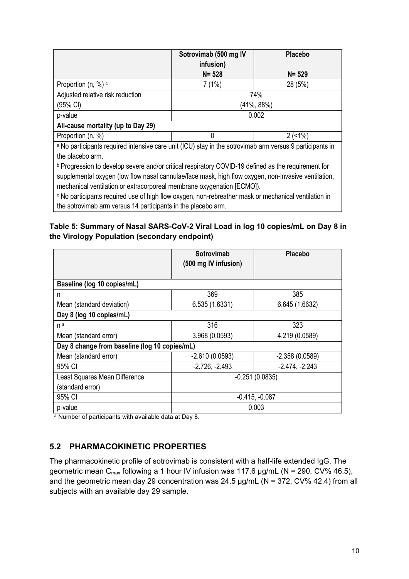|                                                                                                            | Sotrovimab (500 mg IV<br>infusion) | <b>Placebo</b> |
|------------------------------------------------------------------------------------------------------------|------------------------------------|----------------|
|                                                                                                            | $N = 528$                          | $N = 529$      |
| Proportion $(n, %)$ $\circ$                                                                                | 7(1%)                              | 28 (5%)        |
| Adjusted relative risk reduction                                                                           | 74%                                |                |
| $(95% \text{ Cl})$                                                                                         | (41%, 88%)                         |                |
| p-value                                                                                                    | 0.002                              |                |
| All-cause mortality (up to Day 29)                                                                         |                                    |                |
| Proportion (n, %)                                                                                          | 0                                  | 2(1%)          |
| a No participants required intensive care unit (ICU) stay in the sotrovimab arm versus 9 participants in   |                                    |                |
| the placebo arm.                                                                                           |                                    |                |
| <b>D</b> Progression to develop severe and/or critical respiratory COVID-19 defined as the requirement for |                                    |                |

evere and/or critical respiratory COVID-19 defined as the re supplemental oxygen (low flow nasal cannulae/face mask, high flow oxygen, non-invasive ventilation, mechanical ventilation or extracorporeal membrane oxygenation [ECMO]).

<sup>c</sup> No participants required use of high flow oxygen, non-rebreather mask or mechanical ventilation in the sotrovimab arm versus 14 participants in the placebo arm.

## **Table 5: Summary of Nasal SARS-CoV-2 Viral Load in log 10 copies/mL on Day 8 in the Virology Population (secondary endpoint)**

|                                               | <b>Sotrovimab</b><br>(500 mg IV infusion) | <b>Placebo</b>   |
|-----------------------------------------------|-------------------------------------------|------------------|
|                                               |                                           |                  |
| Baseline (log 10 copies/mL)                   |                                           |                  |
| n                                             | 369                                       | 385              |
| Mean (standard deviation)                     | 6.535 (1.6331)                            | 6.645 (1.6632)   |
| Day 8 (log 10 copies/mL)                      |                                           |                  |
| n <sup>a</sup>                                | 316                                       | 323              |
| Mean (standard error)                         | 3.968 (0.0593)                            | 4.219 (0.0589)   |
| Day 8 change from baseline (log 10 copies/mL) |                                           |                  |
| Mean (standard error)                         | $-2.610(0.0593)$                          | $-2.358(0.0589)$ |
| 95% CI                                        | $-2.726, -2.493$                          | $-2.474, -2.243$ |
| Least Squares Mean Difference                 | $-0.251(0.0835)$                          |                  |
| (standard error)                              |                                           |                  |
| 95% CI                                        | $-0.415, -0.087$                          |                  |
| p-value                                       | 0.003                                     |                  |

a Number of participants with available data at Day 8.

## **5.2 PHARMACOKINETIC PROPERTIES**

The pharmacokinetic profile of sotrovimab is consistent with a half-life extended IgG. The geometric mean  $C_{\text{max}}$  following a 1 hour IV infusion was 117.6  $\mu$ g/mL (N = 290, CV% 46.5), and the geometric mean day 29 concentration was  $24.5 \mu g/mL$  (N = 372, CV% 42.4) from all subjects with an available day 29 sample.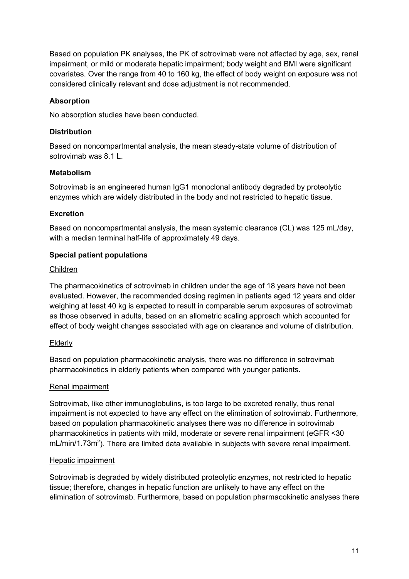Based on population PK analyses, the PK of sotrovimab were not affected by age, sex, renal impairment, or mild or moderate hepatic impairment; body weight and BMI were significant covariates. Over the range from 40 to 160 kg, the effect of body weight on exposure was not considered clinically relevant and dose adjustment is not recommended.

#### **Absorption**

No absorption studies have been conducted.

#### **Distribution**

Based on noncompartmental analysis, the mean steady-state volume of distribution of sotrovimab was 8.1 L.

#### **Metabolism**

Sotrovimab is an engineered human IgG1 monoclonal antibody degraded by proteolytic enzymes which are widely distributed in the body and not restricted to hepatic tissue.

#### **Excretion**

Based on noncompartmental analysis, the mean systemic clearance (CL) was 125 mL/day, with a median terminal half-life of approximately 49 days.

#### **Special patient populations**

#### Children

The pharmacokinetics of sotrovimab in children under the age of 18 years have not been evaluated. However, the recommended dosing regimen in patients aged 12 years and older weighing at least 40 kg is expected to result in comparable serum exposures of sotrovimab as those observed in adults, based on an allometric scaling approach which accounted for effect of body weight changes associated with age on clearance and volume of distribution.

#### Elderly

Based on population pharmacokinetic analysis, there was no difference in sotrovimab pharmacokinetics in elderly patients when compared with younger patients.

#### Renal impairment

Sotrovimab, like other immunoglobulins, is too large to be excreted renally, thus renal impairment is not expected to have any effect on the elimination of sotrovimab. Furthermore, based on population pharmacokinetic analyses there was no difference in sotrovimab pharmacokinetics in patients with mild, moderate or severe renal impairment (eGFR <30 mL/min/1.73m<sup>2</sup>). There are limited data available in subjects with severe renal impairment.

#### Hepatic impairment

Sotrovimab is degraded by widely distributed proteolytic enzymes, not restricted to hepatic tissue; therefore, changes in hepatic function are unlikely to have any effect on the elimination of sotrovimab. Furthermore, based on population pharmacokinetic analyses there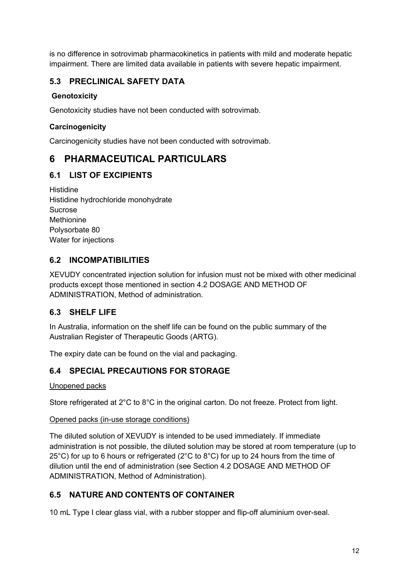is no difference in sotrovimab pharmacokinetics in patients with mild and moderate hepatic impairment. There are limited data available in patients with severe hepatic impairment.

## **5.3 PRECLINICAL SAFETY DATA**

### **Genotoxicity**

Genotoxicity studies have not been conducted with sotrovimab.

### **Carcinogenicity**

Carcinogenicity studies have not been conducted with sotrovimab.

# **6 PHARMACEUTICAL PARTICULARS**

## **6.1 LIST OF EXCIPIENTS**

Histidine Histidine hydrochloride monohydrate Sucrose Methionine Polysorbate 80 Water for injections

## **6.2 INCOMPATIBILITIES**

XEVUDY concentrated injection solution for infusion must not be mixed with other medicinal products except those mentioned in section 4.2 DOSAGE AND METHOD OF ADMINISTRATION, Method of administration.

## **6.3 SHELF LIFE**

In Australia, information on the shelf life can be found on the public summary of the Australian Register of Therapeutic Goods (ARTG).

The expiry date can be found on the vial and packaging.

## **6.4 SPECIAL PRECAUTIONS FOR STORAGE**

#### Unopened packs

Store refrigerated at 2°C to 8°C in the original carton. Do not freeze. Protect from light.

#### Opened packs (in-use storage conditions)

The diluted solution of XEVUDY is intended to be used immediately. If immediate administration is not possible, the diluted solution may be stored at room temperature (up to 25°C) for up to 6 hours or refrigerated (2°C to 8°C) for up to 24 hours from the time of dilution until the end of administration (see Section 4.2 DOSAGE AND METHOD OF ADMINISTRATION, Method of Administration).

## **6.5 NATURE AND CONTENTS OF CONTAINER**

10 mL Type I clear glass vial, with a rubber stopper and flip-off aluminium over-seal.